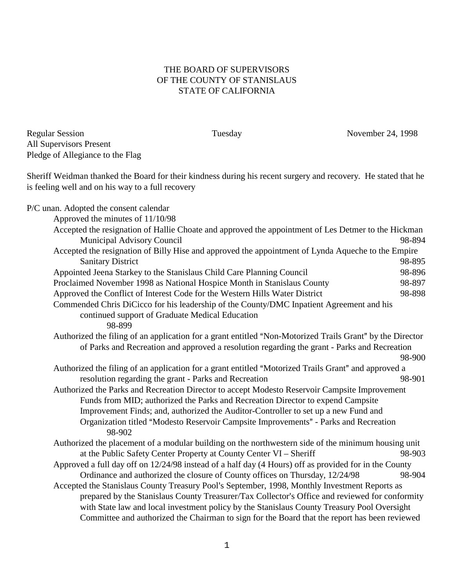## THE BOARD OF SUPERVISORS OF THE COUNTY OF STANISLAUS STATE OF CALIFORNIA

Regular Session Tuesday November 24, 1998 All Supervisors Present Pledge of Allegiance to the Flag

Sheriff Weidman thanked the Board for their kindness during his recent surgery and recovery. He stated that he is feeling well and on his way to a full recovery

P/C unan. Adopted the consent calendar

| Approved the minutes of 11/10/98                                                                          |        |
|-----------------------------------------------------------------------------------------------------------|--------|
| Accepted the resignation of Hallie Choate and approved the appointment of Les Detmer to the Hickman       |        |
| Municipal Advisory Council                                                                                | 98-894 |
| Accepted the resignation of Billy Hise and approved the appointment of Lynda Aqueche to the Empire        |        |
| <b>Sanitary District</b>                                                                                  | 98-895 |
| Appointed Jeena Starkey to the Stanislaus Child Care Planning Council                                     | 98-896 |
| Proclaimed November 1998 as National Hospice Month in Stanislaus County                                   | 98-897 |
| Approved the Conflict of Interest Code for the Western Hills Water District                               | 98-898 |
| Commended Chris DiCicco for his leadership of the County/DMC Inpatient Agreement and his                  |        |
| continued support of Graduate Medical Education<br>98-899                                                 |        |
| Authorized the filing of an application for a grant entitled "Non-Motorized Trails Grant" by the Director |        |
| of Parks and Recreation and approved a resolution regarding the grant - Parks and Recreation              |        |
|                                                                                                           | 98-900 |
| Authorized the filing of an application for a grant entitled "Motorized Trails Grant" and approved a      |        |
| resolution regarding the grant - Parks and Recreation                                                     | 98-901 |
| Authorized the Parks and Recreation Director to accept Modesto Reservoir Campsite Improvement             |        |
| Funds from MID; authorized the Parks and Recreation Director to expend Campsite                           |        |
| Improvement Finds; and, authorized the Auditor-Controller to set up a new Fund and                        |        |
| Organization titled "Modesto Reservoir Campsite Improvements" - Parks and Recreation<br>98-902            |        |
| Authorized the placement of a modular building on the northwestern side of the minimum housing unit       |        |
| at the Public Safety Center Property at County Center VI - Sheriff                                        | 98-903 |
| Approved a full day off on 12/24/98 instead of a half day (4 Hours) off as provided for in the County     |        |
| Ordinance and authorized the closure of County offices on Thursday, 12/24/98                              | 98-904 |
| Accepted the Stanislaus County Treasury Pool's September, 1998, Monthly Investment Reports as             |        |
| prepared by the Stanislaus County Treasurer/Tax Collector's Office and reviewed for conformity            |        |
| with State law and local investment policy by the Stanislaus County Treasury Pool Oversight               |        |
| Committee and authorized the Chairman to sign for the Board that the report has been reviewed             |        |
|                                                                                                           |        |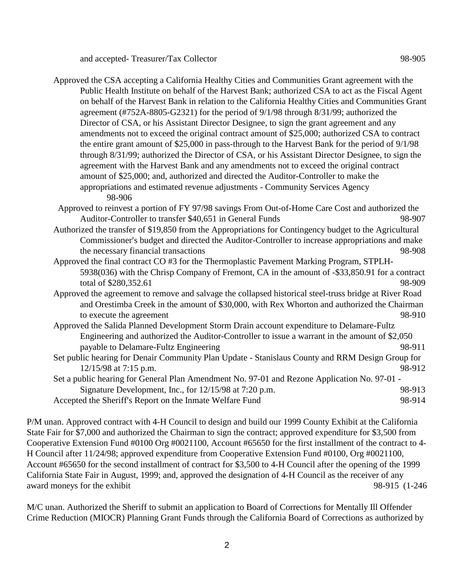and accepted- Treasurer/Tax Collector 98-905

Approved the CSA accepting a California Healthy Cities and Communities Grant agreement with the Public Health Institute on behalf of the Harvest Bank; authorized CSA to act as the Fiscal Agent on behalf of the Harvest Bank in relation to the California Healthy Cities and Communities Grant agreement (#752A-8805-G2321) for the period of 9/1/98 through 8/31/99; authorized the Director of CSA, or his Assistant Director Designee, to sign the grant agreement and any amendments not to exceed the original contract amount of \$25,000; authorized CSA to contract the entire grant amount of \$25,000 in pass-through to the Harvest Bank for the period of 9/1/98 through 8/31/99; authorized the Director of CSA, or his Assistant Director Designee, to sign the agreement with the Harvest Bank and any amendments not to exceed the original contract amount of \$25,000; and, authorized and directed the Auditor-Controller to make the appropriations and estimated revenue adjustments - Community Services Agency 98-906

 Approved to reinvest a portion of FY 97/98 savings From Out-of-Home Care Cost and authorized the Auditor-Controller to transfer \$40,651 in General Funds 98-907

Authorized the transfer of \$19,850 from the Appropriations for Contingency budget to the Agricultural Commissioner's budget and directed the Auditor-Controller to increase appropriations and make the necessary financial transactions 98-908

Approved the final contract CO #3 for the Thermoplastic Pavement Marking Program, STPLH-5938(036) with the Chrisp Company of Fremont, CA in the amount of -\$33,850.91 for a contract total of \$280,352.61 98-909

Approved the agreement to remove and salvage the collapsed historical steel-truss bridge at River Road and Orestimba Creek in the amount of \$30,000, with Rex Whorton and authorized the Chairman to execute the agreement 98-910

Approved the Salida Planned Development Storm Drain account expenditure to Delamare-Fultz Engineering and authorized the Auditor-Controller to issue a warrant in the amount of \$2,050 payable to Delamare-Fultz Engineering example of the state of the 98-911

Set public hearing for Denair Community Plan Update - Stanislaus County and RRM Design Group for 12/15/98 at 7:15 p.m. 98-912

Set a public hearing for General Plan Amendment No. 97-01 and Rezone Application No. 97-01 - Signature Development, Inc., for 12/15/98 at 7:20 p.m. 98-913 Accepted the Sheriff's Report on the Inmate Welfare Fund 98-914

P/M unan. Approved contract with 4-H Council to design and build our 1999 County Exhibit at the California State Fair for \$7,000 and authorized the Chairman to sign the contract; approved expenditure for \$3,500 from Cooperative Extension Fund #0100 Org #0021100, Account #65650 for the first installment of the contract to 4- H Council after 11/24/98; approved expenditure from Cooperative Extension Fund #0100, Org #0021100, Account #65650 for the second installment of contract for \$3,500 to 4-H Council after the opening of the 1999 California State Fair in August, 1999; and, approved the designation of 4-H Council as the receiver of any award moneys for the exhibit 98-915 (1-246

M/C unan. Authorized the Sheriff to submit an application to Board of Corrections for Mentally Ill Offender Crime Reduction (MIOCR) Planning Grant Funds through the California Board of Corrections as authorized by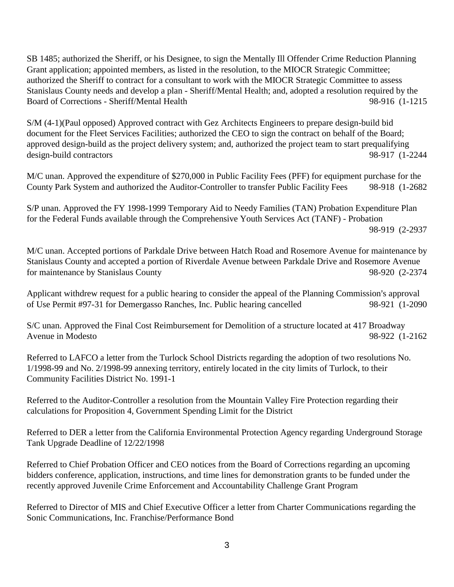SB 1485; authorized the Sheriff, or his Designee, to sign the Mentally Ill Offender Crime Reduction Planning Grant application; appointed members, as listed in the resolution, to the MIOCR Strategic Committee; authorized the Sheriff to contract for a consultant to work with the MIOCR Strategic Committee to assess Stanislaus County needs and develop a plan - Sheriff/Mental Health; and, adopted a resolution required by the Board of Corrections - Sheriff/Mental Health 98-916 (1-1215

S/M (4-1)(Paul opposed) Approved contract with Gez Architects Engineers to prepare design-build bid document for the Fleet Services Facilities; authorized the CEO to sign the contract on behalf of the Board; approved design-build as the project delivery system; and, authorized the project team to start prequalifying design-build contractors 98-917 (1-2244

M/C unan. Approved the expenditure of \$270,000 in Public Facility Fees (PFF) for equipment purchase for the County Park System and authorized the Auditor-Controller to transfer Public Facility Fees 98-918 (1-2682

S/P unan. Approved the FY 1998-1999 Temporary Aid to Needy Families (TAN) Probation Expenditure Plan for the Federal Funds available through the Comprehensive Youth Services Act (TANF) - Probation 98-919 (2-2937

M/C unan. Accepted portions of Parkdale Drive between Hatch Road and Rosemore Avenue for maintenance by Stanislaus County and accepted a portion of Riverdale Avenue between Parkdale Drive and Rosemore Avenue for maintenance by Stanislaus County 98-920 (2-2374

Applicant withdrew request for a public hearing to consider the appeal of the Planning Commission's approval of Use Permit #97-31 for Demergasso Ranches, Inc. Public hearing cancelled 98-921 (1-2090

S/C unan. Approved the Final Cost Reimbursement for Demolition of a structure located at 417 Broadway Avenue in Modesto 98-922 (1-2162

Referred to LAFCO a letter from the Turlock School Districts regarding the adoption of two resolutions No. 1/1998-99 and No. 2/1998-99 annexing territory, entirely located in the city limits of Turlock, to their Community Facilities District No. 1991-1

Referred to the Auditor-Controller a resolution from the Mountain Valley Fire Protection regarding their calculations for Proposition 4, Government Spending Limit for the District

Referred to DER a letter from the California Environmental Protection Agency regarding Underground Storage Tank Upgrade Deadline of 12/22/1998

Referred to Chief Probation Officer and CEO notices from the Board of Corrections regarding an upcoming bidders conference, application, instructions, and time lines for demonstration grants to be funded under the recently approved Juvenile Crime Enforcement and Accountability Challenge Grant Program

Referred to Director of MIS and Chief Executive Officer a letter from Charter Communications regarding the Sonic Communications, Inc. Franchise/Performance Bond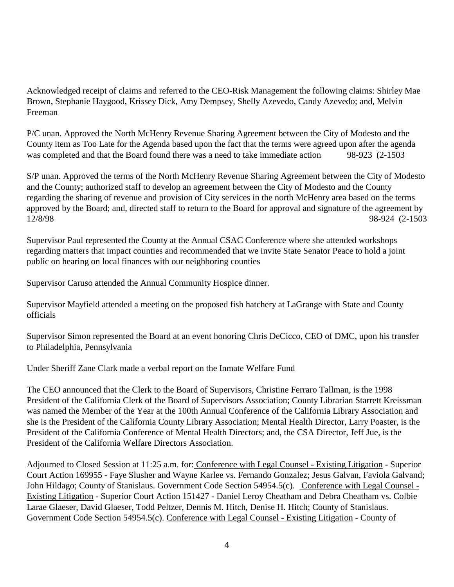Acknowledged receipt of claims and referred to the CEO-Risk Management the following claims: Shirley Mae Brown, Stephanie Haygood, Krissey Dick, Amy Dempsey, Shelly Azevedo, Candy Azevedo; and, Melvin Freeman

P/C unan. Approved the North McHenry Revenue Sharing Agreement between the City of Modesto and the County item as Too Late for the Agenda based upon the fact that the terms were agreed upon after the agenda was completed and that the Board found there was a need to take immediate action 98-923 (2-1503)

S/P unan. Approved the terms of the North McHenry Revenue Sharing Agreement between the City of Modesto and the County; authorized staff to develop an agreement between the City of Modesto and the County regarding the sharing of revenue and provision of City services in the north McHenry area based on the terms approved by the Board; and, directed staff to return to the Board for approval and signature of the agreement by 12/8/98 98-924 (2-1503

Supervisor Paul represented the County at the Annual CSAC Conference where she attended workshops regarding matters that impact counties and recommended that we invite State Senator Peace to hold a joint public on hearing on local finances with our neighboring counties

Supervisor Caruso attended the Annual Community Hospice dinner.

Supervisor Mayfield attended a meeting on the proposed fish hatchery at LaGrange with State and County officials

Supervisor Simon represented the Board at an event honoring Chris DeCicco, CEO of DMC, upon his transfer to Philadelphia, Pennsylvania

Under Sheriff Zane Clark made a verbal report on the Inmate Welfare Fund

The CEO announced that the Clerk to the Board of Supervisors, Christine Ferraro Tallman, is the 1998 President of the California Clerk of the Board of Supervisors Association; County Librarian Starrett Kreissman was named the Member of the Year at the 100th Annual Conference of the California Library Association and she is the President of the California County Library Association; Mental Health Director, Larry Poaster, is the President of the California Conference of Mental Health Directors; and, the CSA Director, Jeff Jue, is the President of the California Welfare Directors Association.

Adjourned to Closed Session at 11:25 a.m. for: Conference with Legal Counsel - Existing Litigation - Superior Court Action 169955 - Faye Slusher and Wayne Karlee vs. Fernando Gonzalez; Jesus Galvan, Faviola Galvand; John Hildago; County of Stanislaus. Government Code Section 54954.5(c). Conference with Legal Counsel - Existing Litigation - Superior Court Action 151427 - Daniel Leroy Cheatham and Debra Cheatham vs. Colbie Larae Glaeser, David Glaeser, Todd Peltzer, Dennis M. Hitch, Denise H. Hitch; County of Stanislaus. Government Code Section 54954.5(c). Conference with Legal Counsel - Existing Litigation - County of